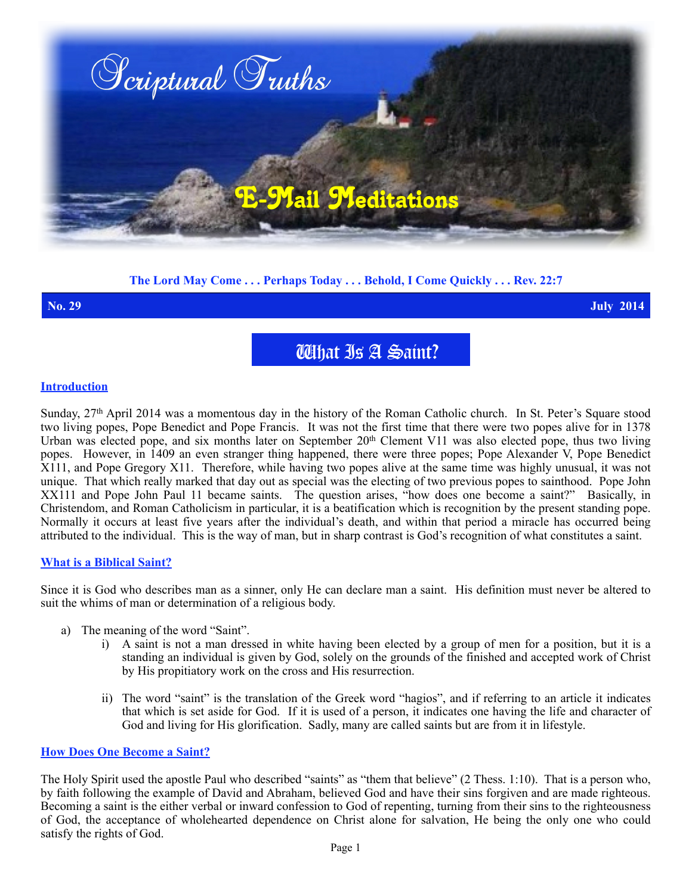

# **The Lord May Come . . . Perhaps Today . . . Behold, I Come Quickly . . . Rev. 22:7**

**No. 29 July 2014**

What Is A Saint?

# **Introduction**

Sunday, 27<sup>th</sup> April 2014 was a momentous day in the history of the Roman Catholic church. In St. Peter's Square stood two living popes, Pope Benedict and Pope Francis. It was not the first time that there were two popes alive for in 1378 Urban was elected pope, and six months later on September 20<sup>th</sup> Clement V11 was also elected pope, thus two living popes. However, in 1409 an even stranger thing happened, there were three popes; Pope Alexander V, Pope Benedict X111, and Pope Gregory X11. Therefore, while having two popes alive at the same time was highly unusual, it was not unique. That which really marked that day out as special was the electing of two previous popes to sainthood. Pope John XX111 and Pope John Paul 11 became saints. The question arises, "how does one become a saint?" Basically, in Christendom, and Roman Catholicism in particular, it is a beatification which is recognition by the present standing pope. Normally it occurs at least five years after the individual's death, and within that period a miracle has occurred being attributed to the individual. This is the way of man, but in sharp contrast is God's recognition of what constitutes a saint.

## **What is a Biblical Saint?**

Since it is God who describes man as a sinner, only He can declare man a saint. His definition must never be altered to suit the whims of man or determination of a religious body.

- a) The meaning of the word "Saint".
	- i) A saint is not a man dressed in white having been elected by a group of men for a position, but it is a standing an individual is given by God, solely on the grounds of the finished and accepted work of Christ by His propitiatory work on the cross and His resurrection.
	- ii) The word "saint" is the translation of the Greek word "hagios", and if referring to an article it indicates that which is set aside for God. If it is used of a person, it indicates one having the life and character of God and living for His glorification. Sadly, many are called saints but are from it in lifestyle.

### **How Does One Become a Saint?**

The Holy Spirit used the apostle Paul who described "saints" as "them that believe" (2 Thess. 1:10). That is a person who, by faith following the example of David and Abraham, believed God and have their sins forgiven and are made righteous. Becoming a saint is the either verbal or inward confession to God of repenting, turning from their sins to the righteousness of God, the acceptance of wholehearted dependence on Christ alone for salvation, He being the only one who could satisfy the rights of God.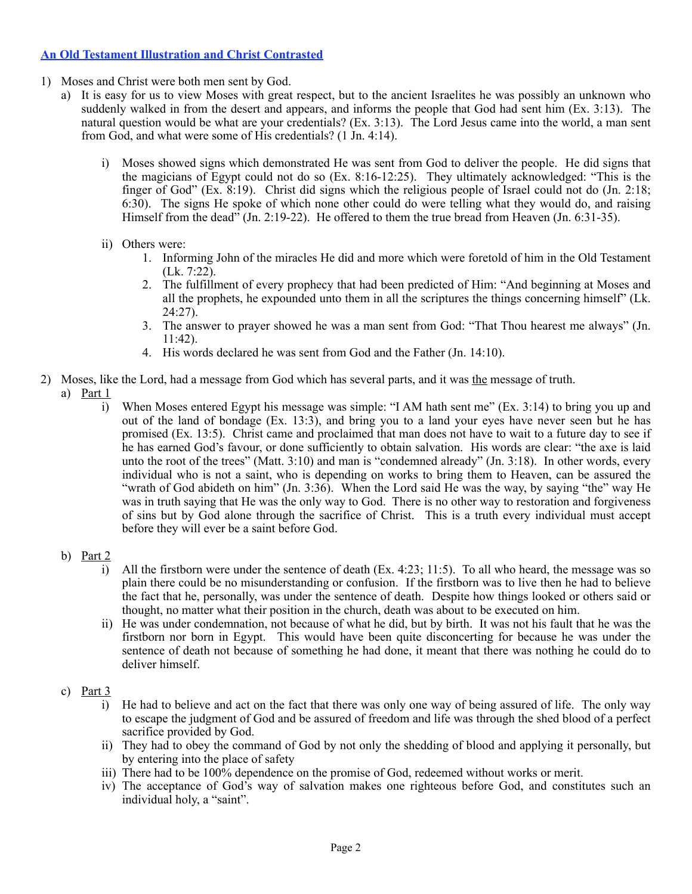# **An Old Testament Illustration and Christ Contrasted**

- 1) Moses and Christ were both men sent by God.
	- a) It is easy for us to view Moses with great respect, but to the ancient Israelites he was possibly an unknown who suddenly walked in from the desert and appears, and informs the people that God had sent him (Ex. 3:13). The natural question would be what are your credentials? (Ex. 3:13). The Lord Jesus came into the world, a man sent from God, and what were some of His credentials? (1 Jn. 4:14).
		- i) Moses showed signs which demonstrated He was sent from God to deliver the people. He did signs that the magicians of Egypt could not do so (Ex. 8:16-12:25). They ultimately acknowledged: "This is the finger of God" (Ex. 8:19). Christ did signs which the religious people of Israel could not do (Jn. 2:18; 6:30). The signs He spoke of which none other could do were telling what they would do, and raising Himself from the dead<sup>7</sup> (Jn. 2:19-22). He offered to them the true bread from Heaven (Jn. 6:31-35).
		- ii) Others were:
			- 1. Informing John of the miracles He did and more which were foretold of him in the Old Testament (Lk. 7:22).
			- 2. The fulfillment of every prophecy that had been predicted of Him: "And beginning at Moses and all the prophets, he expounded unto them in all the scriptures the things concerning himself" (Lk. 24:27).
			- 3. The answer to prayer showed he was a man sent from God: "That Thou hearest me always" (Jn. 11:42).
			- 4. His words declared he was sent from God and the Father (Jn. 14:10).
- 2) Moses, like the Lord, had a message from God which has several parts, and it was the message of truth.
	- a) Part 1
		- i) When Moses entered Egypt his message was simple: "I AM hath sent me" (Ex. 3:14) to bring you up and out of the land of bondage (Ex. 13:3), and bring you to a land your eyes have never seen but he has promised (Ex. 13:5). Christ came and proclaimed that man does not have to wait to a future day to see if he has earned God's favour, or done sufficiently to obtain salvation. His words are clear: "the axe is laid unto the root of the trees" (Matt. 3:10) and man is "condemned already" (Jn. 3:18). In other words, every individual who is not a saint, who is depending on works to bring them to Heaven, can be assured the "wrath of God abideth on him" (Jn. 3:36). When the Lord said He was the way, by saying "the" way He was in truth saying that He was the only way to God. There is no other way to restoration and forgiveness of sins but by God alone through the sacrifice of Christ. This is a truth every individual must accept before they will ever be a saint before God.
	- b) Part 2
		- i) All the firstborn were under the sentence of death (Ex. 4:23; 11:5). To all who heard, the message was so plain there could be no misunderstanding or confusion. If the firstborn was to live then he had to believe the fact that he, personally, was under the sentence of death. Despite how things looked or others said or thought, no matter what their position in the church, death was about to be executed on him.
		- ii) He was under condemnation, not because of what he did, but by birth. It was not his fault that he was the firstborn nor born in Egypt. This would have been quite disconcerting for because he was under the sentence of death not because of something he had done, it meant that there was nothing he could do to deliver himself.
	- c) Part 3
		- i) He had to believe and act on the fact that there was only one way of being assured of life. The only way to escape the judgment of God and be assured of freedom and life was through the shed blood of a perfect sacrifice provided by God.
		- ii) They had to obey the command of God by not only the shedding of blood and applying it personally, but by entering into the place of safety
		- iii) There had to be 100% dependence on the promise of God, redeemed without works or merit.
		- iv) The acceptance of God's way of salvation makes one righteous before God, and constitutes such an individual holy, a "saint".